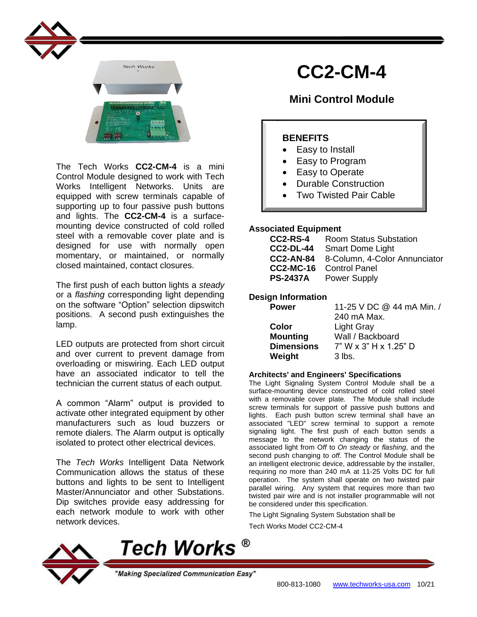



The Tech Works **CC2-CM-4** is a mini Control Module designed to work with Tech Works Intelligent Networks. Units are equipped with screw terminals capable of supporting up to four passive push buttons and lights. The **CC2-CM-4** is a surfacemounting device constructed of cold rolled steel with a removable cover plate and is designed for use with normally open momentary, or maintained, or normally closed maintained, contact closures.

The first push of each button lights a *steady* or a *flashing* corresponding light depending on the software "Option" selection dipswitch positions. A second push extinguishes the lamp.

LED outputs are protected from short circuit and over current to prevent damage from overloading or miswiring. Each LED output have an associated indicator to tell the technician the current status of each output.

A common "Alarm" output is provided to activate other integrated equipment by other manufacturers such as loud buzzers or remote dialers. The Alarm output is optically isolated to protect other electrical devices.

The *Tech Works* Intelligent Data Network Communication allows the status of these buttons and lights to be sent to Intelligent Master/Annunciator and other Substations. Dip switches provide easy addressing for each network module to work with other network devices.

# **CC2-CM-4**

# **Mini Control Module**

# **BENEFITS**

- Easy to Install
- Easy to Program
- Easy to Operate
- Durable Construction
- Two Twisted Pair Cable

## **Associated Equipment**

| CC2-RS-4         | <b>Room Status Substation</b> |
|------------------|-------------------------------|
| <b>CC2-DL-44</b> | <b>Smart Dome Light</b>       |
| <b>CC2-AN-84</b> | 8-Column, 4-Color Annunciator |
| <b>CC2-MC-16</b> | <b>Control Panel</b>          |
| <b>PS-2437A</b>  | <b>Power Supply</b>           |

## **Design Information**

| <b>Power</b>      | 11-25 V DC @ 44 mA Min. / |
|-------------------|---------------------------|
|                   | 240 mA Max.               |
| Color             | <b>Light Gray</b>         |
| <b>Mounting</b>   | Wall / Backboard          |
| <b>Dimensions</b> | 7" W x 3" H x 1.25" D     |
| Weight            | $3$ lbs.                  |
|                   |                           |

#### **Architects' and Engineers' Specifications**

The Light Signaling System Control Module shall be a surface-mounting device constructed of cold rolled steel with a removable cover plate. The Module shall include screw terminals for support of passive push buttons and lights. Each push button screw terminal shall have an associated "LED" screw terminal to support a remote signaling light. The first push of each button sends a message to the network changing the status of the associated light from O*ff* to *On steady* or *flashing*, and the second push changing to *off.* The Control Module shall be an intelligent electronic device, addressable by the installer, requiring no more than 240 mA at 11-25 Volts DC for full operation. The system shall operate on two twisted pair parallel wiring. Any system that requires more than two twisted pair wire and is not installer programmable will not be considered under this specification.

The Light Signaling System Substation shall be

Tech Works Model CC2-CM-4



Tech Works ®

"Making Specialized Communication Easy"